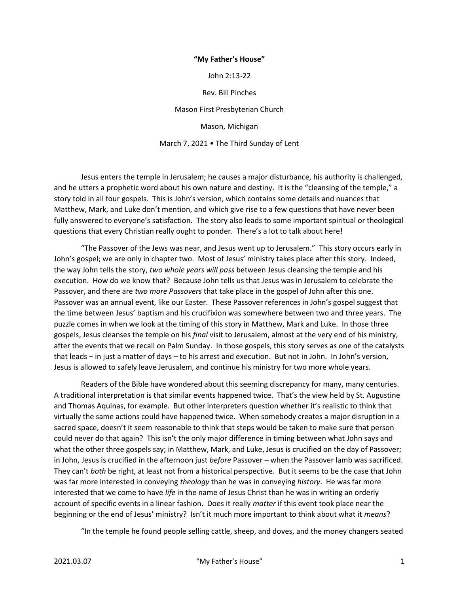## "My Father's House"

John 2:13-22

Rev. Bill Pinches

Mason First Presbyterian Church

Mason, Michigan

March 7, 2021 • The Third Sunday of Lent

 Jesus enters the temple in Jerusalem; he causes a major disturbance, his authority is challenged, and he utters a prophetic word about his own nature and destiny. It is the "cleansing of the temple," a story told in all four gospels. This is John's version, which contains some details and nuances that Matthew, Mark, and Luke don't mention, and which give rise to a few questions that have never been fully answered to everyone's satisfaction. The story also leads to some important spiritual or theological questions that every Christian really ought to ponder. There's a lot to talk about here!

 "The Passover of the Jews was near, and Jesus went up to Jerusalem." This story occurs early in John's gospel; we are only in chapter two. Most of Jesus' ministry takes place after this story. Indeed, the way John tells the story, two whole years will pass between Jesus cleansing the temple and his execution. How do we know that? Because John tells us that Jesus was in Jerusalem to celebrate the Passover, and there are two more Passovers that take place in the gospel of John after this one. Passover was an annual event, like our Easter. These Passover references in John's gospel suggest that the time between Jesus' baptism and his crucifixion was somewhere between two and three years. The puzzle comes in when we look at the timing of this story in Matthew, Mark and Luke. In those three gospels, Jesus cleanses the temple on his final visit to Jerusalem, almost at the very end of his ministry, after the events that we recall on Palm Sunday. In those gospels, this story serves as one of the catalysts that leads – in just a matter of days – to his arrest and execution. But not in John. In John's version, Jesus is allowed to safely leave Jerusalem, and continue his ministry for two more whole years.

 Readers of the Bible have wondered about this seeming discrepancy for many, many centuries. A traditional interpretation is that similar events happened twice. That's the view held by St. Augustine and Thomas Aquinas, for example. But other interpreters question whether it's realistic to think that virtually the same actions could have happened twice. When somebody creates a major disruption in a sacred space, doesn't it seem reasonable to think that steps would be taken to make sure that person could never do that again? This isn't the only major difference in timing between what John says and what the other three gospels say; in Matthew, Mark, and Luke, Jesus is crucified on the day of Passover; in John, Jesus is crucified in the afternoon just before Passover – when the Passover lamb was sacrificed. They can't both be right, at least not from a historical perspective. But it seems to be the case that John was far more interested in conveying theology than he was in conveying history. He was far more interested that we come to have life in the name of Jesus Christ than he was in writing an orderly account of specific events in a linear fashion. Does it really *matter* if this event took place near the beginning or the end of Jesus' ministry? Isn't it much more important to think about what it means?

"In the temple he found people selling cattle, sheep, and doves, and the money changers seated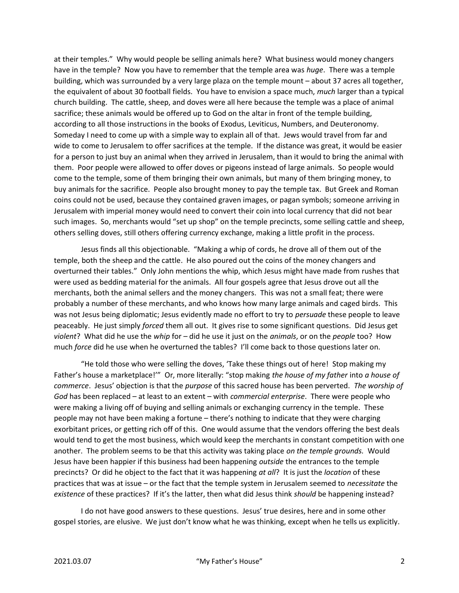at their temples." Why would people be selling animals here? What business would money changers have in the temple? Now you have to remember that the temple area was *huge*. There was a temple building, which was surrounded by a very large plaza on the temple mount – about 37 acres all together, the equivalent of about 30 football fields. You have to envision a space much, *much* larger than a typical church building. The cattle, sheep, and doves were all here because the temple was a place of animal sacrifice; these animals would be offered up to God on the altar in front of the temple building, according to all those instructions in the books of Exodus, Leviticus, Numbers, and Deuteronomy. Someday I need to come up with a simple way to explain all of that. Jews would travel from far and wide to come to Jerusalem to offer sacrifices at the temple. If the distance was great, it would be easier for a person to just buy an animal when they arrived in Jerusalem, than it would to bring the animal with them. Poor people were allowed to offer doves or pigeons instead of large animals. So people would come to the temple, some of them bringing their own animals, but many of them bringing money, to buy animals for the sacrifice. People also brought money to pay the temple tax. But Greek and Roman coins could not be used, because they contained graven images, or pagan symbols; someone arriving in Jerusalem with imperial money would need to convert their coin into local currency that did not bear such images. So, merchants would "set up shop" on the temple precincts, some selling cattle and sheep, others selling doves, still others offering currency exchange, making a little profit in the process.

 Jesus finds all this objectionable. "Making a whip of cords, he drove all of them out of the temple, both the sheep and the cattle. He also poured out the coins of the money changers and overturned their tables." Only John mentions the whip, which Jesus might have made from rushes that were used as bedding material for the animals. All four gospels agree that Jesus drove out all the merchants, both the animal sellers and the money changers. This was not a small feat; there were probably a number of these merchants, and who knows how many large animals and caged birds. This was not Jesus being diplomatic; Jesus evidently made no effort to try to persuade these people to leave peaceably. He just simply forced them all out. It gives rise to some significant questions. Did Jesus get violent? What did he use the whip for – did he use it just on the animals, or on the people too? How much force did he use when he overturned the tables? I'll come back to those questions later on.

 "He told those who were selling the doves, 'Take these things out of here! Stop making my Father's house a marketplace!" Or, more literally: "stop making the house of my father into a house of commerce. Jesus' objection is that the purpose of this sacred house has been perverted. The worship of God has been replaced – at least to an extent – with commercial enterprise. There were people who were making a living off of buying and selling animals or exchanging currency in the temple. These people may not have been making a fortune – there's nothing to indicate that they were charging exorbitant prices, or getting rich off of this. One would assume that the vendors offering the best deals would tend to get the most business, which would keep the merchants in constant competition with one another. The problem seems to be that this activity was taking place on the temple grounds. Would Jesus have been happier if this business had been happening *outside* the entrances to the temple precincts? Or did he object to the fact that it was happening at all? It is just the location of these practices that was at issue – or the fact that the temple system in Jerusalem seemed to necessitate the existence of these practices? If it's the latter, then what did Jesus think should be happening instead?

 I do not have good answers to these questions. Jesus' true desires, here and in some other gospel stories, are elusive. We just don't know what he was thinking, except when he tells us explicitly.